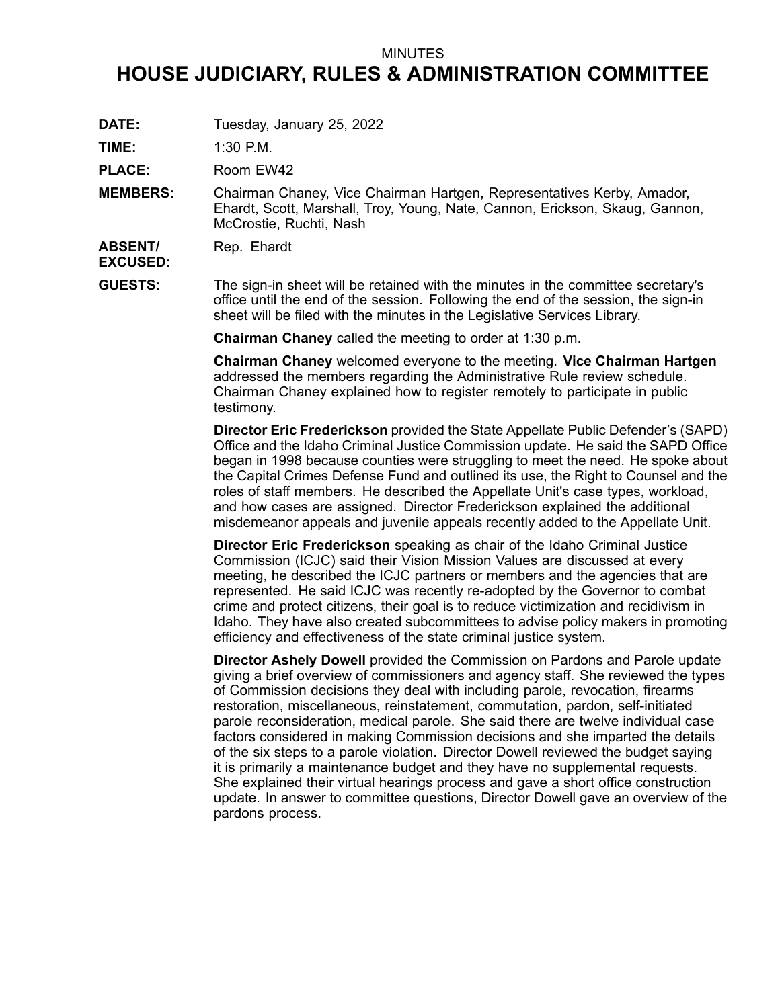## MINUTES

## **HOUSE JUDICIARY, RULES & ADMINISTRATION COMMITTEE**

**DATE:** Tuesday, January 25, 2022

**TIME:** 1:30 P.M.

PLACE: Room EW42

**MEMBERS:** Chairman Chaney, Vice Chairman Hartgen, Representatives Kerby, Amador, Ehardt, Scott, Marshall, Troy, Young, Nate, Cannon, Erickson, Skaug, Gannon, McCrostie, Ruchti, Nash

**ABSENT/** Rep. Ehardt

**EXCUSED:**

**GUESTS:** The sign-in sheet will be retained with the minutes in the committee secretary's office until the end of the session. Following the end of the session, the sign-in sheet will be filed with the minutes in the Legislative Services Library.

**Chairman Chaney** called the meeting to order at 1:30 p.m.

**Chairman Chaney** welcomed everyone to the meeting. **Vice Chairman Hartgen** addressed the members regarding the Administrative Rule review schedule. Chairman Chaney explained how to register remotely to participate in public testimony.

**Director Eric Frederickson** provided the State Appellate Public Defender's (SAPD) Office and the Idaho Criminal Justice Commission update. He said the SAPD Office began in 1998 because counties were struggling to meet the need. He spoke about the Capital Crimes Defense Fund and outlined its use, the Right to Counsel and the roles of staff members. He described the Appellate Unit's case types, workload, and how cases are assigned. Director Frederickson explained the additional misdemeanor appeals and juvenile appeals recently added to the Appellate Unit.

**Director Eric Frederickson** speaking as chair of the Idaho Criminal Justice Commission (ICJC) said their Vision Mission Values are discussed at every meeting, he described the ICJC partners or members and the agencies that are represented. He said ICJC was recently re-adopted by the Governor to combat crime and protect citizens, their goal is to reduce victimization and recidivism in Idaho. They have also created subcommittees to advise policy makers in promoting efficiency and effectiveness of the state criminal justice system.

**Director Ashely Dowell** provided the Commission on Pardons and Parole update giving <sup>a</sup> brief overview of commissioners and agency staff. She reviewed the types of Commission decisions they deal with including parole, revocation, firearms restoration, miscellaneous, reinstatement, commutation, pardon, self-initiated parole reconsideration, medical parole. She said there are twelve individual case factors considered in making Commission decisions and she imparted the details of the six steps to <sup>a</sup> parole violation. Director Dowell reviewed the budget saying it is primarily <sup>a</sup> maintenance budget and they have no supplemental requests. She explained their virtual hearings process and gave <sup>a</sup> short office construction update. In answer to committee questions, Director Dowell gave an overview of the pardons process.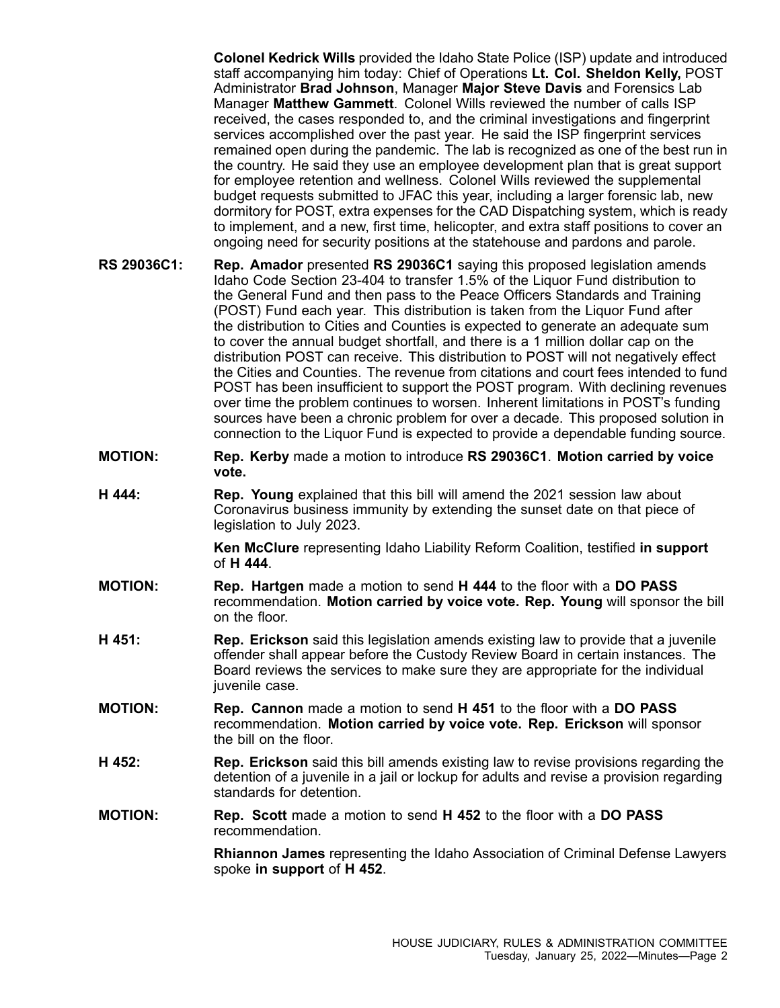**Colonel Kedrick Wills** provided the Idaho State Police (ISP) update and introduced staff accompanying him today: Chief of Operations **Lt. Col. Sheldon Kelly,** POST Administrator **Brad Johnson**, Manager **Major Steve Davis** and Forensics Lab Manager **Matthew Gammett**. Colonel Wills reviewed the number of calls ISP received, the cases responded to, and the criminal investigations and fingerprint services accomplished over the past year. He said the ISP fingerprint services remained open during the pandemic. The lab is recognized as one of the best run in the country. He said they use an employee development plan that is great support for employee retention and wellness. Colonel Wills reviewed the supplemental budget requests submitted to JFAC this year, including <sup>a</sup> larger forensic lab, new dormitory for POST, extra expenses for the CAD Dispatching system, which is ready to implement, and <sup>a</sup> new, first time, helicopter, and extra staff positions to cover an ongoing need for security positions at the statehouse and pardons and parole.

- **RS 29036C1: Rep. Amador** presented **RS 29036C1** saying this proposed legislation amends Idaho Code Section 23-404 to transfer 1.5% of the Liquor Fund distribution to the General Fund and then pass to the Peace Officers Standards and Training (POST) Fund each year. This distribution is taken from the Liquor Fund after the distribution to Cities and Counties is expected to generate an adequate sum to cover the annual budget shortfall, and there is <sup>a</sup> 1 million dollar cap on the distribution POST can receive. This distribution to POST will not negatively effect the Cities and Counties. The revenue from citations and court fees intended to fund POST has been insufficient to support the POST program. With declining revenues over time the problem continues to worsen. Inherent limitations in POST's funding sources have been <sup>a</sup> chronic problem for over <sup>a</sup> decade. This proposed solution in connection to the Liquor Fund is expected to provide <sup>a</sup> dependable funding source.
- **MOTION: Rep. Kerby** made <sup>a</sup> motion to introduce **RS 29036C1**. **Motion carried by voice vote.**
- **H 444: Rep. Young** explained that this bill will amend the 2021 session law about Coronavirus business immunity by extending the sunset date on that piece of legislation to July 2023.

**Ken McClure** representing Idaho Liability Reform Coalition, testified **in support** of **H 444**.

- **MOTION: Rep. Hartgen** made <sup>a</sup> motion to send **H 444** to the floor with <sup>a</sup> **DO PASS** recommendation. **Motion carried by voice vote. Rep. Young** will sponsor the bill on the floor.
- **H 451: Rep. Erickson** said this legislation amends existing law to provide that <sup>a</sup> juvenile offender shall appear before the Custody Review Board in certain instances. The Board reviews the services to make sure they are appropriate for the individual juvenile case.
- **MOTION: Rep. Cannon** made <sup>a</sup> motion to send **H 451** to the floor with <sup>a</sup> **DO PASS** recommendation. **Motion carried by voice vote. Rep. Erickson** will sponsor the bill on the floor.
- **H 452: Rep. Erickson** said this bill amends existing law to revise provisions regarding the detention of <sup>a</sup> juvenile in <sup>a</sup> jail or lockup for adults and revise <sup>a</sup> provision regarding standards for detention.
- **MOTION: Rep. Scott** made <sup>a</sup> motion to send **H 452** to the floor with <sup>a</sup> **DO PASS** recommendation.

**Rhiannon James** representing the Idaho Association of Criminal Defense Lawyers spoke **in support** of **H 452**.